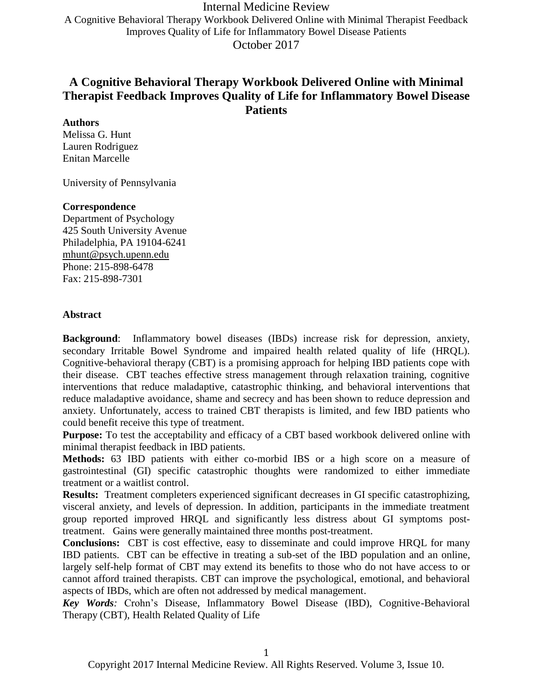Internal Medicine Review A Cognitive Behavioral Therapy Workbook Delivered Online with Minimal Therapist Feedback Improves Quality of Life for Inflammatory Bowel Disease Patients October 2017

# **A Cognitive Behavioral Therapy Workbook Delivered Online with Minimal Therapist Feedback Improves Quality of Life for Inflammatory Bowel Disease Patients**

### **Authors**

Melissa G. Hunt Lauren Rodriguez Enitan Marcelle

University of Pennsylvania

### **Correspondence**

Department of Psychology 425 South University Avenue Philadelphia, PA 19104-6241 [mhunt@psych.upenn.edu](mailto:mhunt@psych.upenn.edu) Phone: 215-898-6478 Fax: 215-898-7301

#### **Abstract**

**Background**: Inflammatory bowel diseases (IBDs) increase risk for depression, anxiety, secondary Irritable Bowel Syndrome and impaired health related quality of life (HRQL). Cognitive-behavioral therapy (CBT) is a promising approach for helping IBD patients cope with their disease. CBT teaches effective stress management through relaxation training, cognitive interventions that reduce maladaptive, catastrophic thinking, and behavioral interventions that reduce maladaptive avoidance, shame and secrecy and has been shown to reduce depression and anxiety. Unfortunately, access to trained CBT therapists is limited, and few IBD patients who could benefit receive this type of treatment.

**Purpose:** To test the acceptability and efficacy of a CBT based workbook delivered online with minimal therapist feedback in IBD patients.

**Methods:** 63 IBD patients with either co-morbid IBS or a high score on a measure of gastrointestinal (GI) specific catastrophic thoughts were randomized to either immediate treatment or a waitlist control.

**Results:** Treatment completers experienced significant decreases in GI specific catastrophizing, visceral anxiety, and levels of depression. In addition, participants in the immediate treatment group reported improved HRQL and significantly less distress about GI symptoms posttreatment. Gains were generally maintained three months post-treatment.

**Conclusions:** CBT is cost effective, easy to disseminate and could improve HRQL for many IBD patients. CBT can be effective in treating a sub-set of the IBD population and an online, largely self-help format of CBT may extend its benefits to those who do not have access to or cannot afford trained therapists. CBT can improve the psychological, emotional, and behavioral aspects of IBDs, which are often not addressed by medical management.

*Key Words:* Crohn's Disease, Inflammatory Bowel Disease (IBD), Cognitive-Behavioral Therapy (CBT), Health Related Quality of Life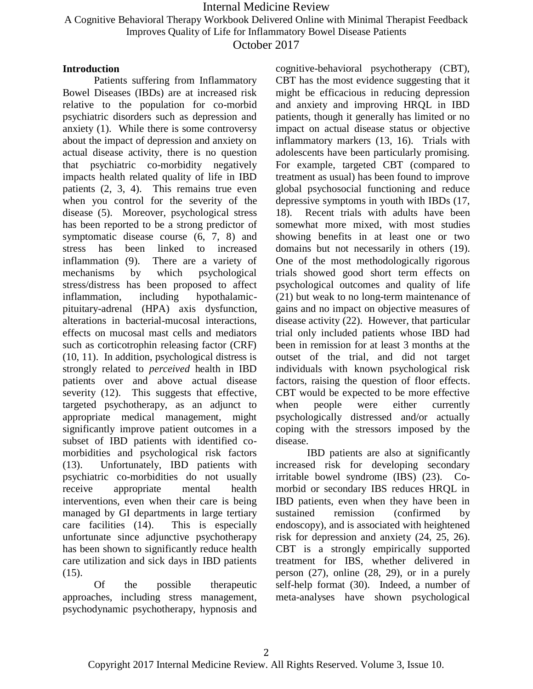A Cognitive Behavioral Therapy Workbook Delivered Online with Minimal Therapist Feedback

Improves Quality of Life for Inflammatory Bowel Disease Patients

October 2017

### **Introduction**

Patients suffering from Inflammatory Bowel Diseases (IBDs) are at increased risk relative to the population for co-morbid psychiatric disorders such as depression and anxiety (1). While there is some controversy about the impact of depression and anxiety on actual disease activity, there is no question that psychiatric co-morbidity negatively impacts health related quality of life in IBD patients (2, 3, 4). This remains true even when you control for the severity of the disease (5). Moreover, psychological stress has been reported to be a strong predictor of symptomatic disease course (6, 7, 8) and stress has been linked to increased inflammation (9). There are a variety of mechanisms by which psychological stress/distress has been proposed to affect inflammation, including hypothalamicpituitary-adrenal (HPA) axis dysfunction, alterations in bacterial-mucosal interactions, effects on mucosal mast cells and mediators such as corticotrophin releasing factor (CRF) (10, 11). In addition, psychological distress is strongly related to *perceived* health in IBD patients over and above actual disease severity (12). This suggests that effective, targeted psychotherapy, as an adjunct to appropriate medical management, might significantly improve patient outcomes in a subset of IBD patients with identified comorbidities and psychological risk factors (13). Unfortunately, IBD patients with psychiatric co-morbidities do not usually receive appropriate mental health interventions, even when their care is being managed by GI departments in large tertiary care facilities (14). This is especially unfortunate since adjunctive psychotherapy has been shown to significantly reduce health care utilization and sick days in IBD patients  $(15)$ .

Of the possible therapeutic approaches, including stress management, psychodynamic psychotherapy, hypnosis and cognitive-behavioral psychotherapy (CBT), CBT has the most evidence suggesting that it might be efficacious in reducing depression and anxiety and improving HRQL in IBD patients, though it generally has limited or no impact on actual disease status or objective inflammatory markers (13, 16). Trials with adolescents have been particularly promising. For example, targeted CBT (compared to treatment as usual) has been found to improve global psychosocial functioning and reduce depressive symptoms in youth with IBDs (17, 18). Recent trials with adults have been somewhat more mixed, with most studies showing benefits in at least one or two domains but not necessarily in others (19). One of the most methodologically rigorous trials showed good short term effects on psychological outcomes and quality of life (21) but weak to no long-term maintenance of gains and no impact on objective measures of disease activity (22). However, that particular trial only included patients whose IBD had been in remission for at least 3 months at the outset of the trial, and did not target individuals with known psychological risk factors, raising the question of floor effects. CBT would be expected to be more effective when people were either currently psychologically distressed and/or actually coping with the stressors imposed by the disease.

IBD patients are also at significantly increased risk for developing secondary irritable bowel syndrome (IBS) (23). Comorbid or secondary IBS reduces HRQL in IBD patients, even when they have been in sustained remission (confirmed by endoscopy), and is associated with heightened risk for depression and anxiety (24, 25, 26). CBT is a strongly empirically supported treatment for IBS, whether delivered in person (27), online (28, 29), or in a purely self-help format (30). Indeed, a number of meta-analyses have shown psychological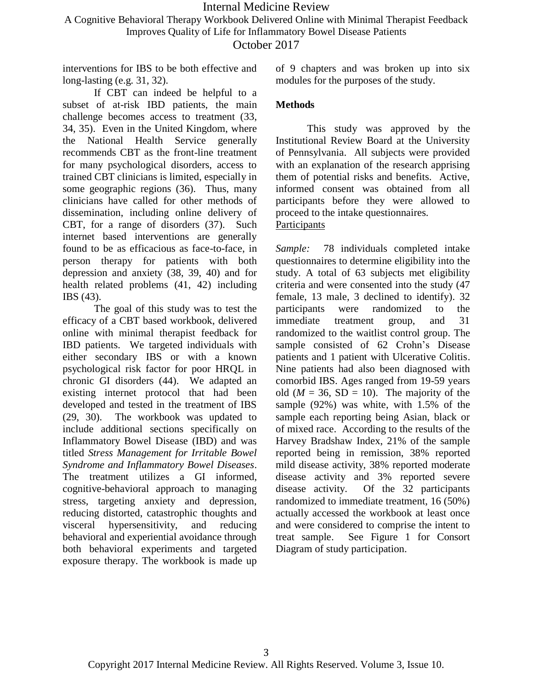A Cognitive Behavioral Therapy Workbook Delivered Online with Minimal Therapist Feedback

Improves Quality of Life for Inflammatory Bowel Disease Patients

October 2017

interventions for IBS to be both effective and long-lasting (e.g. 31, 32).

If CBT can indeed be helpful to a subset of at-risk IBD patients, the main challenge becomes access to treatment (33, 34, 35). Even in the United Kingdom, where the National Health Service generally recommends CBT as the front-line treatment for many psychological disorders, access to trained CBT clinicians is limited, especially in some geographic regions (36). Thus, many clinicians have called for other methods of dissemination, including online delivery of CBT, for a range of disorders (37). Such internet based interventions are generally found to be as efficacious as face-to-face, in person therapy for patients with both depression and anxiety (38, 39, 40) and for health related problems (41, 42) including IBS (43).

The goal of this study was to test the efficacy of a CBT based workbook, delivered online with minimal therapist feedback for IBD patients. We targeted individuals with either secondary IBS or with a known psychological risk factor for poor HRQL in chronic GI disorders (44). We adapted an existing internet protocol that had been developed and tested in the treatment of IBS (29, 30). The workbook was updated to include additional sections specifically on Inflammatory Bowel Disease (IBD) and was titled *Stress Management for Irritable Bowel Syndrome and Inflammatory Bowel Diseases*. The treatment utilizes a GI informed, cognitive-behavioral approach to managing stress, targeting anxiety and depression, reducing distorted, catastrophic thoughts and visceral hypersensitivity, and reducing behavioral and experiential avoidance through both behavioral experiments and targeted exposure therapy. The workbook is made up of 9 chapters and was broken up into six modules for the purposes of the study.

### **Methods**

This study was approved by the Institutional Review Board at the University of Pennsylvania. All subjects were provided with an explanation of the research apprising them of potential risks and benefits. Active, informed consent was obtained from all participants before they were allowed to proceed to the intake questionnaires. Participants

*Sample:* 78 individuals completed intake questionnaires to determine eligibility into the study. A total of 63 subjects met eligibility criteria and were consented into the study (47 female, 13 male, 3 declined to identify). 32 participants were randomized to the immediate treatment group, and 31 randomized to the waitlist control group. The sample consisted of 62 Crohn's Disease patients and 1 patient with Ulcerative Colitis. Nine patients had also been diagnosed with comorbid IBS. Ages ranged from 19-59 years old  $(M = 36, SD = 10)$ . The majority of the sample (92%) was white, with 1.5% of the sample each reporting being Asian, black or of mixed race. According to the results of the Harvey Bradshaw Index, 21% of the sample reported being in remission, 38% reported mild disease activity, 38% reported moderate disease activity and 3% reported severe disease activity. Of the 32 participants randomized to immediate treatment, 16 (50%) actually accessed the workbook at least once and were considered to comprise the intent to treat sample. See Figure 1 for Consort Diagram of study participation.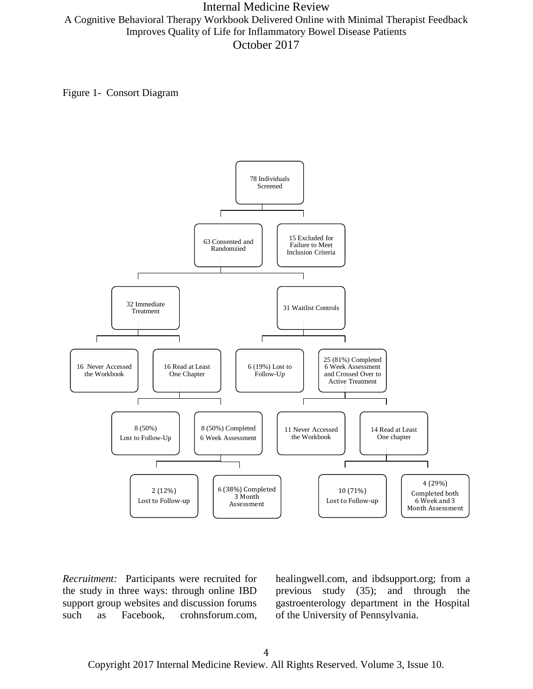Internal Medicine Review A Cognitive Behavioral Therapy Workbook Delivered Online with Minimal Therapist Feedback Improves Quality of Life for Inflammatory Bowel Disease Patients October 2017

Figure 1- Consort Diagram



*Recruitment:* Participants were recruited for the study in three ways: through online IBD support group websites and discussion forums such as Facebook, crohnsforum.com, healingwell.com, and ibdsupport.org; from a previous study (35); and through the gastroenterology department in the Hospital of the University of Pennsylvania.

Copyright 2017 Internal Medicine Review. All Rights Reserved. Volume 3, Issue 10.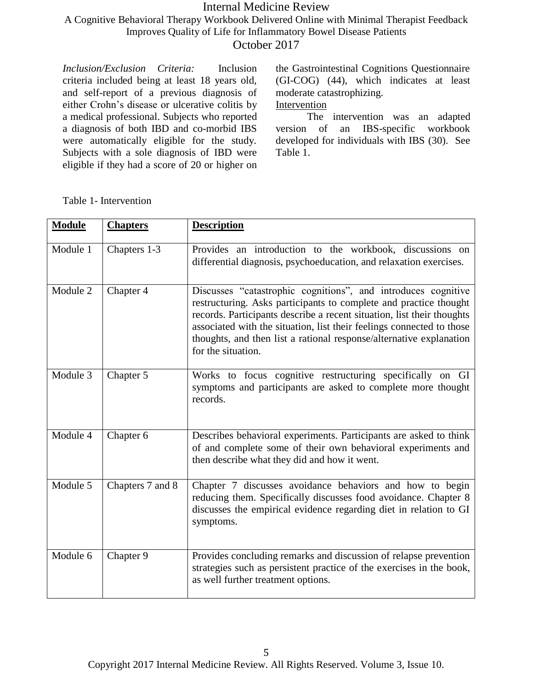A Cognitive Behavioral Therapy Workbook Delivered Online with Minimal Therapist Feedback Improves Quality of Life for Inflammatory Bowel Disease Patients

October 2017

*Inclusion/Exclusion Criteria:* Inclusion criteria included being at least 18 years old, and self-report of a previous diagnosis of either Crohn's disease or ulcerative colitis by a medical professional. Subjects who reported a diagnosis of both IBD and co-morbid IBS were automatically eligible for the study. Subjects with a sole diagnosis of IBD were eligible if they had a score of 20 or higher on the Gastrointestinal Cognitions Questionnaire (GI-COG) (44), which indicates at least moderate catastrophizing.

## Intervention

The intervention was an adapted version of an IBS-specific workbook developed for individuals with IBS (30). See Table 1.

**Module Chapters Description** Module 1 | Chapters 1-3 | Provides an introduction to the workbook, discussions on differential diagnosis, psychoeducation, and relaxation exercises. Module 2 Chapter 4 Discusses "catastrophic cognitions", and introduces cognitive restructuring. Asks participants to complete and practice thought records. Participants describe a recent situation, list their thoughts associated with the situation, list their feelings connected to those thoughts, and then list a rational response/alternative explanation for the situation. Module 3 Chapter 5 Works to focus cognitive restructuring specifically on GI symptoms and participants are asked to complete more thought records. Module 4 Chapter 6 Describes behavioral experiments. Participants are asked to think of and complete some of their own behavioral experiments and then describe what they did and how it went. Module 5 Chapters 7 and 8 Chapter 7 discusses avoidance behaviors and how to begin reducing them. Specifically discusses food avoidance. Chapter 8 discusses the empirical evidence regarding diet in relation to GI symptoms. Module 6 Chapter 9 Provides concluding remarks and discussion of relapse prevention strategies such as persistent practice of the exercises in the book, as well further treatment options.

Table 1- Intervention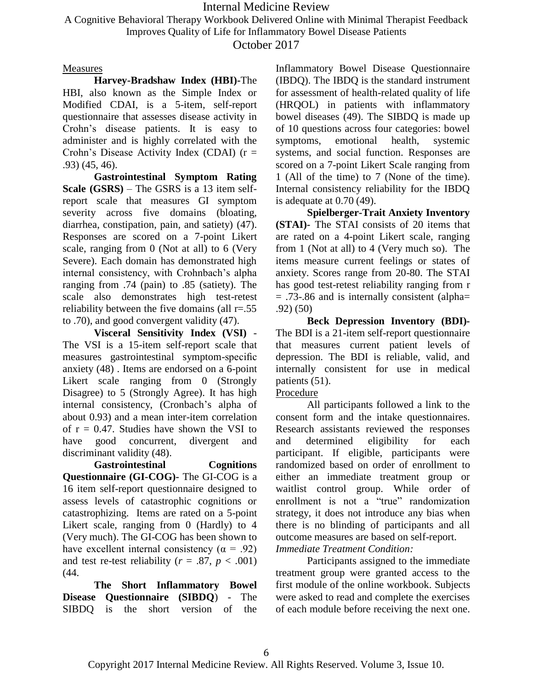A Cognitive Behavioral Therapy Workbook Delivered Online with Minimal Therapist Feedback

Improves Quality of Life for Inflammatory Bowel Disease Patients

October 2017

### Measures

**Harvey-Bradshaw Index (HBI)-**The HBI, also known as the Simple Index or Modified CDAI, is a 5-item, self-report questionnaire that assesses disease activity in Crohn's disease patients. It is easy to administer and is highly correlated with the Crohn's Disease Activity Index (CDAI)  $(r =$ .93) (45, 46).

**Gastrointestinal Symptom Rating Scale (GSRS)** – The GSRS is a 13 item selfreport scale that measures GI symptom severity across five domains (bloating, diarrhea, constipation, pain, and satiety) (47). Responses are scored on a 7-point Likert scale, ranging from 0 (Not at all) to 6 (Very Severe). Each domain has demonstrated high internal consistency, with Crohnbach's alpha ranging from .74 (pain) to .85 (satiety). The scale also demonstrates high test-retest reliability between the five domains (all  $r = .55$ ) to .70), and good convergent validity (47).

**Visceral Sensitivity Index (VSI)** - The VSI is a 15-item self-report scale that measures gastrointestinal symptom-specific anxiety (48) . Items are endorsed on a 6-point Likert scale ranging from 0 (Strongly Disagree) to 5 (Strongly Agree). It has high internal consistency, (Cronbach's alpha of about 0.93) and a mean inter-item correlation of  $r = 0.47$ . Studies have shown the VSI to have good concurrent, divergent and discriminant validity (48).

**Gastrointestinal Cognitions Questionnaire (GI-COG)-** The GI-COG is a 16 item self-report questionnaire designed to assess levels of catastrophic cognitions or catastrophizing. Items are rated on a 5-point Likert scale, ranging from 0 (Hardly) to 4 (Very much). The GI-COG has been shown to have excellent internal consistency ( $\alpha = .92$ ) and test re-test reliability ( $r = .87$ ,  $p < .001$ ) (44.

**The Short Inflammatory Bowel Disease Questionnaire (SIBDQ**) - The SIBDQ is the short version of the

Inflammatory Bowel Disease Questionnaire (IBDQ). The IBDQ is the standard instrument for assessment of health-related quality of life (HRQOL) in patients with inflammatory bowel diseases (49). The SIBDQ is made up of 10 questions across four categories: bowel symptoms, emotional health, systemic systems, and social function. Responses are scored on a 7-point Likert Scale ranging from 1 (All of the time) to 7 (None of the time). Internal consistency reliability for the IBDQ is adequate at 0.70 (49).

**Spielberger-Trait Anxiety Inventory (STAI)-** The STAI consists of 20 items that are rated on a 4-point Likert scale, ranging from 1 (Not at all) to 4 (Very much so). The items measure current feelings or states of anxiety. Scores range from 20-80. The STAI has good test-retest reliability ranging from r = .73-.86 and is internally consistent (alpha= .92) (50)

**Beck Depression Inventory (BDI)-** The BDI is a 21-item self-report questionnaire that measures current patient levels of depression. The BDI is reliable, valid, and internally consistent for use in medical patients (51).

### Procedure

All participants followed a link to the consent form and the intake questionnaires. Research assistants reviewed the responses and determined eligibility for each participant. If eligible, participants were randomized based on order of enrollment to either an immediate treatment group or waitlist control group. While order of enrollment is not a "true" randomization strategy, it does not introduce any bias when there is no blinding of participants and all outcome measures are based on self-report. *Immediate Treatment Condition:*

Participants assigned to the immediate treatment group were granted access to the first module of the online workbook. Subjects were asked to read and complete the exercises of each module before receiving the next one.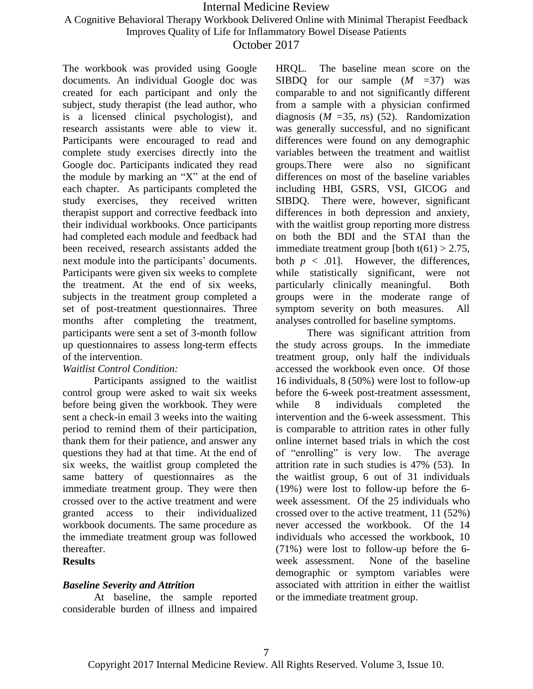A Cognitive Behavioral Therapy Workbook Delivered Online with Minimal Therapist Feedback

Improves Quality of Life for Inflammatory Bowel Disease Patients

### October 2017

The workbook was provided using Google documents. An individual Google doc was created for each participant and only the subject, study therapist (the lead author, who is a licensed clinical psychologist), and research assistants were able to view it. Participants were encouraged to read and complete study exercises directly into the Google doc. Participants indicated they read the module by marking an "X" at the end of each chapter. As participants completed the study exercises, they received written therapist support and corrective feedback into their individual workbooks. Once participants had completed each module and feedback had been received, research assistants added the next module into the participants' documents. Participants were given six weeks to complete the treatment. At the end of six weeks, subjects in the treatment group completed a set of post-treatment questionnaires. Three months after completing the treatment, participants were sent a set of 3-month follow up questionnaires to assess long-term effects of the intervention.

### *Waitlist Control Condition:*

Participants assigned to the waitlist control group were asked to wait six weeks before being given the workbook. They were sent a check-in email 3 weeks into the waiting period to remind them of their participation, thank them for their patience, and answer any questions they had at that time. At the end of six weeks, the waitlist group completed the same battery of questionnaires as the immediate treatment group. They were then crossed over to the active treatment and were granted access to their individualized workbook documents. The same procedure as the immediate treatment group was followed thereafter.

#### **Results**

### *Baseline Severity and Attrition*

At baseline, the sample reported considerable burden of illness and impaired HRQL. The baseline mean score on the SIBDQ for our sample (*M =*37) was comparable to and not significantly different from a sample with a physician confirmed diagnosis (*M =*35, *ns*) (52). Randomization was generally successful, and no significant differences were found on any demographic variables between the treatment and waitlist groups.There were also no significant differences on most of the baseline variables including HBI, GSRS, VSI, GICOG and SIBDQ. There were, however, significant differences in both depression and anxiety, with the waitlist group reporting more distress on both the BDI and the STAI than the immediate treatment group [both  $t(61) > 2.75$ , both  $p < .01$ ]. However, the differences, while statistically significant, were not particularly clinically meaningful. Both groups were in the moderate range of symptom severity on both measures. All analyses controlled for baseline symptoms.

There was significant attrition from the study across groups. In the immediate treatment group, only half the individuals accessed the workbook even once. Of those 16 individuals, 8 (50%) were lost to follow-up before the 6-week post-treatment assessment, while 8 individuals completed the intervention and the 6-week assessment. This is comparable to attrition rates in other fully online internet based trials in which the cost of "enrolling" is very low. The average attrition rate in such studies is 47% (53). In the waitlist group, 6 out of 31 individuals (19%) were lost to follow-up before the 6 week assessment. Of the 25 individuals who crossed over to the active treatment, 11 (52%) never accessed the workbook. Of the 14 individuals who accessed the workbook, 10 (71%) were lost to follow-up before the 6 week assessment. None of the baseline demographic or symptom variables were associated with attrition in either the waitlist or the immediate treatment group.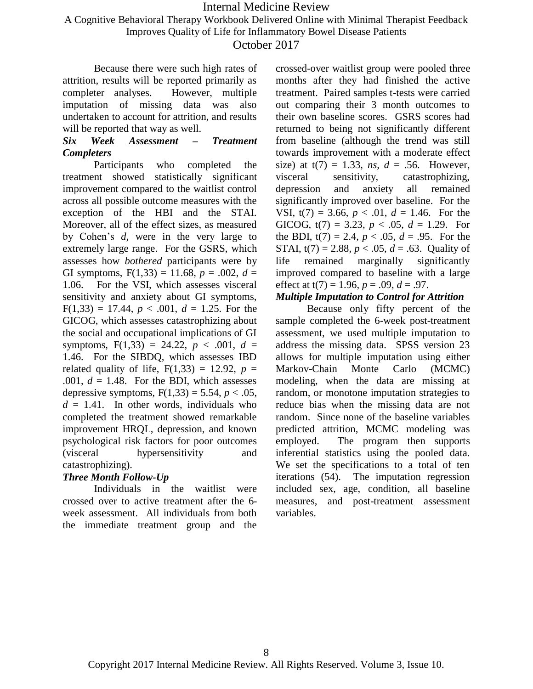A Cognitive Behavioral Therapy Workbook Delivered Online with Minimal Therapist Feedback

Improves Quality of Life for Inflammatory Bowel Disease Patients

October 2017

Because there were such high rates of attrition, results will be reported primarily as completer analyses. However, multiple imputation of missing data was also undertaken to account for attrition, and results will be reported that way as well.

### *Six Week Assessment – Treatment Completers*

Participants who completed the treatment showed statistically significant improvement compared to the waitlist control across all possible outcome measures with the exception of the HBI and the STAI. Moreover, all of the effect sizes, as measured by Cohen's *d,* were in the very large to extremely large range. For the GSRS, which assesses how *bothered* participants were by GI symptoms,  $F(1,33) = 11.68$ ,  $p = .002$ ,  $d =$ 1.06. For the VSI, which assesses visceral sensitivity and anxiety about GI symptoms,  $F(1,33) = 17.44$ ,  $p < .001$ ,  $d = 1.25$ . For the GICOG, which assesses catastrophizing about the social and occupational implications of GI symptoms,  $F(1,33) = 24.22$ ,  $p < .001$ ,  $d =$ 1.46. For the SIBDQ, which assesses IBD related quality of life,  $F(1,33) = 12.92$ ,  $p =$ .001,  $d = 1.48$ . For the BDI, which assesses depressive symptoms,  $F(1,33) = 5.54$ ,  $p < .05$ ,  $d = 1.41$ . In other words, individuals who completed the treatment showed remarkable improvement HRQL, depression, and known psychological risk factors for poor outcomes (visceral hypersensitivity and catastrophizing).

### *Three Month Follow-Up*

Individuals in the waitlist were crossed over to active treatment after the 6 week assessment. All individuals from both the immediate treatment group and the crossed-over waitlist group were pooled three months after they had finished the active treatment. Paired samples t-tests were carried out comparing their 3 month outcomes to their own baseline scores. GSRS scores had returned to being not significantly different from baseline (although the trend was still towards improvement with a moderate effect size) at  $t(7) = 1.33$ , *ns*,  $d = .56$ . However, visceral sensitivity, catastrophizing, depression and anxiety all remained significantly improved over baseline. For the VSI,  $t(7) = 3.66$ ,  $p < .01$ ,  $d = 1.46$ . For the GICOG,  $t(7) = 3.23$ ,  $p < .05$ ,  $d = 1.29$ . For the BDI,  $t(7) = 2.4$ ,  $p < .05$ ,  $d = .95$ . For the STAI,  $t(7) = 2.88$ ,  $p < .05$ ,  $d = .63$ . Quality of life remained marginally significantly improved compared to baseline with a large effect at  $t(7) = 1.96$ ,  $p = .09$ ,  $d = .97$ .

### *Multiple Imputation to Control for Attrition*

Because only fifty percent of the sample completed the 6-week post-treatment assessment, we used multiple imputation to address the missing data. SPSS version 23 allows for multiple imputation using either Markov-Chain Monte Carlo (MCMC) modeling, when the data are missing at random, or monotone imputation strategies to reduce bias when the missing data are not random. Since none of the baseline variables predicted attrition, MCMC modeling was employed. The program then supports inferential statistics using the pooled data. We set the specifications to a total of ten iterations (54). The imputation regression included sex, age, condition, all baseline measures, and post-treatment assessment variables.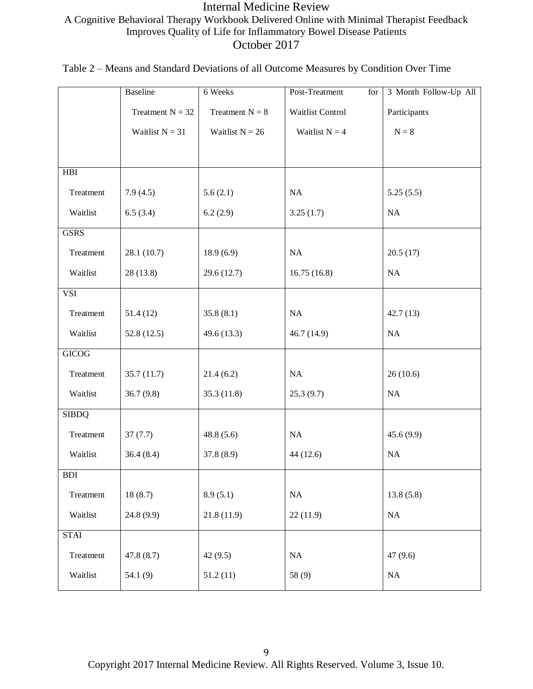## Internal Medicine Review A Cognitive Behavioral Therapy Workbook Delivered Online with Minimal Therapist Feedback Improves Quality of Life for Inflammatory Bowel Disease Patients October 2017

| Table 2 – Means and Standard Deviations of all Outcome Measures by Condition Over Time |  |  |
|----------------------------------------------------------------------------------------|--|--|
|----------------------------------------------------------------------------------------|--|--|

|              | Baseline           | 6 Weeks           | Post-Treatment<br>for | 3 Month Follow-Up All |
|--------------|--------------------|-------------------|-----------------------|-----------------------|
|              | Treatment $N = 32$ | Treatment $N = 8$ | Waitlist Control      | Participants          |
|              | Waitlist $N = 31$  | Waitlist $N = 26$ | Waitlist $N = 4$      | $\mathbf{N}=8$        |
|              |                    |                   |                       |                       |
| <b>HBI</b>   |                    |                   |                       |                       |
| Treatment    | 7.9(4.5)           | 5.6(2.1)          | NA                    | 5.25(5.5)             |
| Waitlist     | 6.5(3.4)           | 6.2(2.9)          | 3.25(1.7)             | $\rm NA$              |
| <b>GSRS</b>  |                    |                   |                       |                       |
| Treatment    | 28.1 (10.7)        | 18.9(6.9)         | NA                    | 20.5(17)              |
| Waitlist     | 28 (13.8)          | 29.6(12.7)        | 16.75(16.8)           | NA                    |
| <b>VSI</b>   |                    |                   |                       |                       |
| Treatment    | 51.4(12)           | 35.8(8.1)         | NA                    | 42.7(13)              |
| Waitlist     | 52.8(12.5)         | 49.6 (13.3)       | 46.7 (14.9)           | $\rm NA$              |
| <b>GICOG</b> |                    |                   |                       |                       |
| Treatment    | 35.7(11.7)         | 21.4(6.2)         | NA                    | 26(10.6)              |
| Waitlist     | 36.7(9.8)          | 35.3 (11.8)       | 25.3(9.7)             | $\rm NA$              |
| <b>SIBDQ</b> |                    |                   |                       |                       |
| Treatment    | 37(7.7)            | 48.8 $(5.6)$      | NA                    | 45.6(9.9)             |
| Waitlist     | 36.4(8.4)          | 37.8 (8.9)        | 44 (12.6)             | $\rm NA$              |
| <b>BDI</b>   |                    |                   |                       |                       |
| Treatment    | 18(8.7)            | 8.9(5.1)          | <b>NA</b>             | 13.8(5.8)             |
| Waitlist     | 24.8 (9.9)         | 21.8(11.9)        | 22(11.9)              | NA                    |
| <b>STAI</b>  |                    |                   |                       |                       |
| Treatment    | 47.8(8.7)          | 42(9.5)           | NA                    | 47(9.6)               |
| Waitlist     | 54.1 (9)           | 51.2(11)          | 58 (9)                | $\rm NA$              |

Copyright 2017 Internal Medicine Review. All Rights Reserved. Volume 3, Issue 10.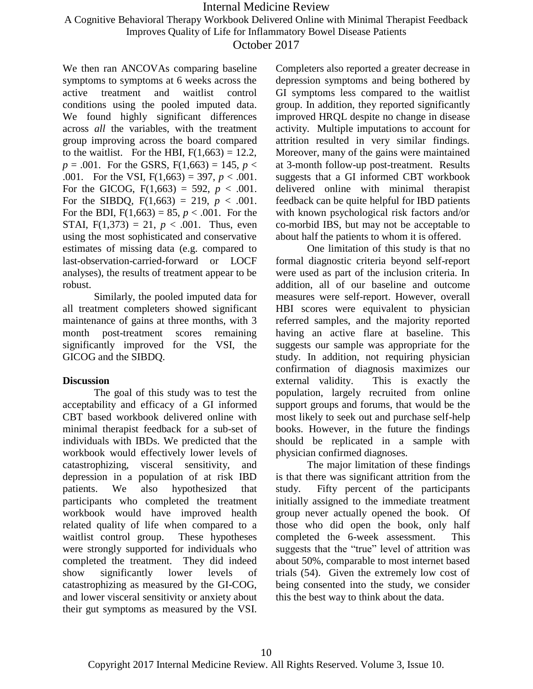A Cognitive Behavioral Therapy Workbook Delivered Online with Minimal Therapist Feedback

Improves Quality of Life for Inflammatory Bowel Disease Patients

### October 2017

We then ran ANCOVAs comparing baseline symptoms to symptoms at 6 weeks across the active treatment and waitlist control conditions using the pooled imputed data. We found highly significant differences across *all* the variables, with the treatment group improving across the board compared to the waitlist. For the HBI,  $F(1,663) = 12.2$ ,  $p = .001$ . For the GSRS,  $F(1,663) = 145$ ,  $p <$ .001. For the VSI,  $F(1,663) = 397$ ,  $p < .001$ . For the GICOG,  $F(1,663) = 592$ ,  $p < .001$ . For the SIBDQ,  $F(1,663) = 219$ ,  $p < .001$ . For the BDI,  $F(1,663) = 85$ ,  $p < .001$ . For the STAI,  $F(1,373) = 21$ ,  $p < .001$ . Thus, even using the most sophisticated and conservative estimates of missing data (e.g. compared to last-observation-carried-forward or LOCF analyses), the results of treatment appear to be robust.

Similarly, the pooled imputed data for all treatment completers showed significant maintenance of gains at three months, with 3 month post-treatment scores remaining significantly improved for the VSI, the GICOG and the SIBDQ.

### **Discussion**

The goal of this study was to test the acceptability and efficacy of a GI informed CBT based workbook delivered online with minimal therapist feedback for a sub-set of individuals with IBDs. We predicted that the workbook would effectively lower levels of catastrophizing, visceral sensitivity, and depression in a population of at risk IBD patients. We also hypothesized that participants who completed the treatment workbook would have improved health related quality of life when compared to a waitlist control group. These hypotheses were strongly supported for individuals who completed the treatment. They did indeed show significantly lower levels of catastrophizing as measured by the GI-COG, and lower visceral sensitivity or anxiety about their gut symptoms as measured by the VSI. Completers also reported a greater decrease in depression symptoms and being bothered by GI symptoms less compared to the waitlist group. In addition, they reported significantly improved HRQL despite no change in disease activity. Multiple imputations to account for attrition resulted in very similar findings. Moreover, many of the gains were maintained at 3-month follow-up post-treatment. Results suggests that a GI informed CBT workbook delivered online with minimal therapist feedback can be quite helpful for IBD patients with known psychological risk factors and/or co-morbid IBS, but may not be acceptable to about half the patients to whom it is offered.

One limitation of this study is that no formal diagnostic criteria beyond self-report were used as part of the inclusion criteria. In addition, all of our baseline and outcome measures were self-report. However, overall HBI scores were equivalent to physician referred samples, and the majority reported having an active flare at baseline. This suggests our sample was appropriate for the study. In addition, not requiring physician confirmation of diagnosis maximizes our external validity. This is exactly the population, largely recruited from online support groups and forums, that would be the most likely to seek out and purchase self-help books. However, in the future the findings should be replicated in a sample with physician confirmed diagnoses.

The major limitation of these findings is that there was significant attrition from the study. Fifty percent of the participants initially assigned to the immediate treatment group never actually opened the book. Of those who did open the book, only half completed the 6-week assessment. This suggests that the "true" level of attrition was about 50%, comparable to most internet based trials (54). Given the extremely low cost of being consented into the study, we consider this the best way to think about the data.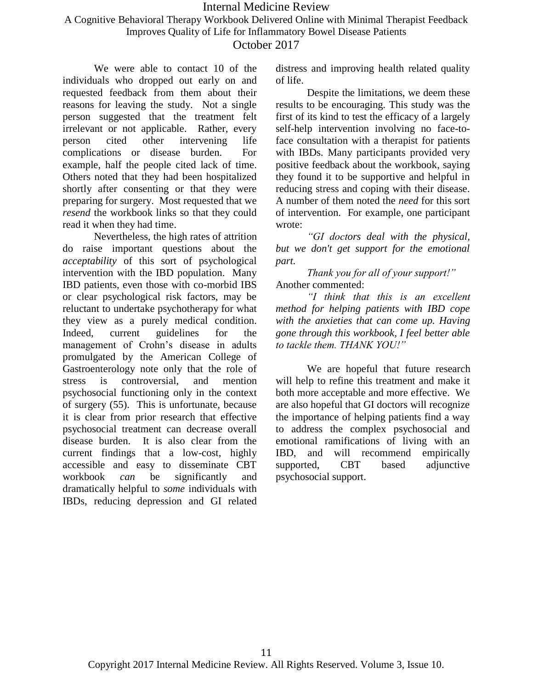A Cognitive Behavioral Therapy Workbook Delivered Online with Minimal Therapist Feedback Improves Quality of Life for Inflammatory Bowel Disease Patients

October 2017

We were able to contact 10 of the individuals who dropped out early on and requested feedback from them about their reasons for leaving the study. Not a single person suggested that the treatment felt irrelevant or not applicable. Rather, every person cited other intervening life complications or disease burden. For example, half the people cited lack of time. Others noted that they had been hospitalized shortly after consenting or that they were preparing for surgery. Most requested that we *resend* the workbook links so that they could read it when they had time.

Nevertheless, the high rates of attrition do raise important questions about the *acceptability* of this sort of psychological intervention with the IBD population. Many IBD patients, even those with co-morbid IBS or clear psychological risk factors, may be reluctant to undertake psychotherapy for what they view as a purely medical condition. Indeed, current guidelines for the management of Crohn's disease in adults promulgated by the American College of Gastroenterology note only that the role of stress is controversial, and mention psychosocial functioning only in the context of surgery (55). This is unfortunate, because it is clear from prior research that effective psychosocial treatment can decrease overall disease burden. It is also clear from the current findings that a low-cost, highly accessible and easy to disseminate CBT workbook *can* be significantly and dramatically helpful to *some* individuals with IBDs, reducing depression and GI related

distress and improving health related quality of life.

Despite the limitations, we deem these results to be encouraging. This study was the first of its kind to test the efficacy of a largely self-help intervention involving no face-toface consultation with a therapist for patients with IBDs. Many participants provided very positive feedback about the workbook, saying they found it to be supportive and helpful in reducing stress and coping with their disease. A number of them noted the *need* for this sort of intervention. For example, one participant wrote:

*"GI doctors deal with the physical, but we don't get support for the emotional part.* 

*Thank you for all of your support!"*  Another commented:

*"I think that this is an excellent method for helping patients with IBD cope with the anxieties that can come up. Having gone through this workbook, I feel better able to tackle them. THANK YOU!"*

We are hopeful that future research will help to refine this treatment and make it both more acceptable and more effective. We are also hopeful that GI doctors will recognize the importance of helping patients find a way to address the complex psychosocial and emotional ramifications of living with an IBD, and will recommend empirically supported, CBT based adjunctive psychosocial support.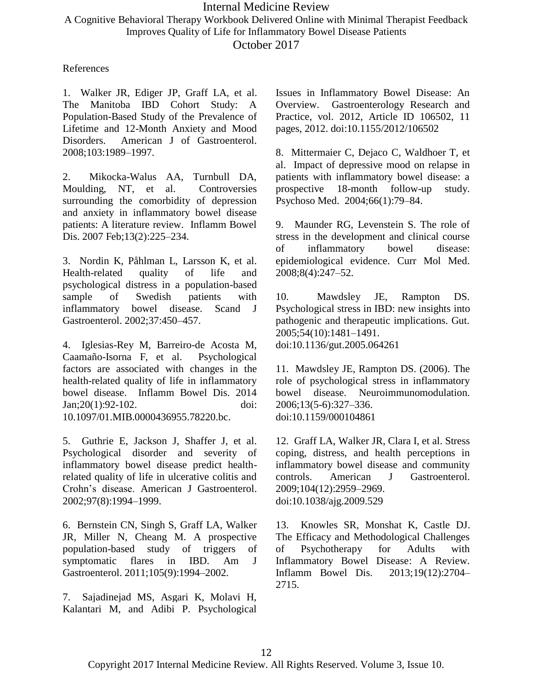A Cognitive Behavioral Therapy Workbook Delivered Online with Minimal Therapist Feedback Improves Quality of Life for Inflammatory Bowel Disease Patients

October 2017

References

1. Walker JR, Ediger JP, Graff LA, et al. The Manitoba IBD Cohort Study: A Population-Based Study of the Prevalence of Lifetime and 12-Month Anxiety and Mood Disorders. American J of Gastroenterol. 2008;103:1989–1997.

2. Mikocka-Walus AA, Turnbull DA, Moulding, NT, et al. Controversies surrounding the comorbidity of depression and anxiety in inflammatory bowel disease patients: A literature review. Inflamm Bowel Dis. 2007 Feb;13(2):225–234.

3. Nordin K, Påhlman L, Larsson K, et al. Health-related quality of life and psychological distress in a population-based sample of Swedish patients with inflammatory bowel disease. Scand J Gastroenterol. 2002;37:450–457.

4. Iglesias-Rey M, Barreiro-de Acosta M, Caamaño-Isorna F, et al. Psychological factors are associated with changes in the health-related quality of life in inflammatory bowel disease. Inflamm Bowel Dis. 2014 Jan;20(1):92-102. doi: 10.1097/01.MIB.0000436955.78220.bc.

5. Guthrie E, Jackson J, Shaffer J, et al. Psychological disorder and severity of inflammatory bowel disease predict healthrelated quality of life in ulcerative colitis and Crohn's disease. American J Gastroenterol. 2002;97(8):1994–1999.

6. Bernstein CN, Singh S, Graff LA, Walker JR, Miller N, Cheang M. A prospective population-based study of triggers of symptomatic flares in IBD. Am J Gastroenterol. 2011;105(9):1994–2002.

7. Sajadinejad MS, Asgari K, Molavi H, Kalantari M, and Adibi P. Psychological Issues in Inflammatory Bowel Disease: An Overview. Gastroenterology Research and Practice, vol. 2012, Article ID 106502, 11 pages, 2012. doi:10.1155/2012/106502

8. Mittermaier C, Dejaco C, Waldhoer T, et al. Impact of depressive mood on relapse in patients with inflammatory bowel disease: a prospective 18-month follow-up study. Psychoso Med. 2004;66(1):79–84.

9. Maunder RG, Levenstein S. The role of stress in the development and clinical course of inflammatory bowel disease: epidemiological evidence. Curr Mol Med. 2008;8(4):247–52.

10. Mawdsley JE, Rampton DS. Psychological stress in IBD: new insights into pathogenic and therapeutic implications. Gut. 2005;54(10):1481–1491. doi:10.1136/gut.2005.064261

11. Mawdsley JE, Rampton DS. (2006). The role of psychological stress in inflammatory bowel disease. Neuroimmunomodulation. 2006;13(5-6):327–336. doi:10.1159/000104861

12. Graff LA, Walker JR, Clara I, et al. Stress coping, distress, and health perceptions in inflammatory bowel disease and community controls. American J Gastroenterol. 2009;104(12):2959–2969. doi:10.1038/ajg.2009.529

13. Knowles SR, Monshat K, Castle DJ. The Efficacy and Methodological Challenges of Psychotherapy for Adults with Inflammatory Bowel Disease: A Review. Inflamm Bowel Dis. 2013;19(12):2704– 2715.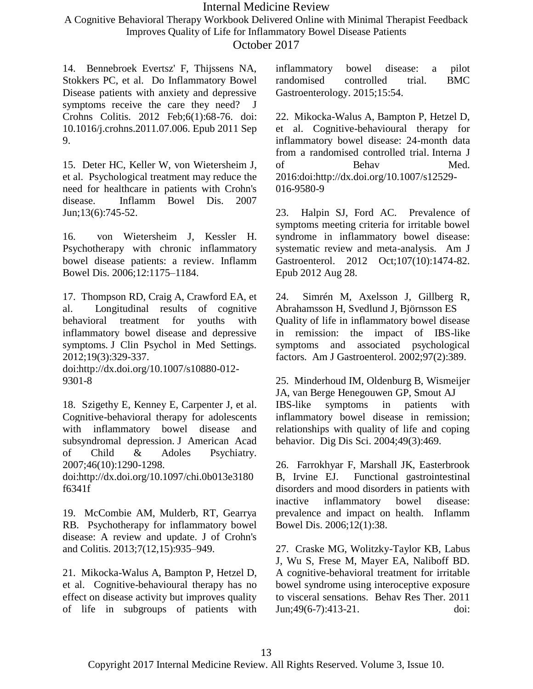A Cognitive Behavioral Therapy Workbook Delivered Online with Minimal Therapist Feedback Improves Quality of Life for Inflammatory Bowel Disease Patients

October 2017

14. Bennebroek Evertsz' F, Thijssens NA, Stokkers PC, et al. Do Inflammatory Bowel Disease patients with anxiety and depressive symptoms receive the care they need? J Crohns Colitis. 2012 Feb;6(1):68-76. doi: 10.1016/j.crohns.2011.07.006. Epub 2011 Sep 9.

15. Deter HC, Keller W, von Wietersheim J, et al. Psychological treatment may reduce the need for healthcare in patients with Crohn's disease. Inflamm Bowel Dis. 2007 Jun;13(6):745-52.

16. von Wietersheim J, Kessler H. Psychotherapy with chronic inflammatory bowel disease patients: a review. Inflamm Bowel Dis. 2006;12:1175–1184.

17. Thompson RD, Craig A, Crawford EA, et al. Longitudinal results of cognitive behavioral treatment for youths with inflammatory bowel disease and depressive symptoms. J Clin Psychol in Med Settings. 2012;19(3):329-337.

doi:http://dx.doi.org/10.1007/s10880-012- 9301-8

18. Szigethy E, Kenney E, Carpenter J, et al. Cognitive-behavioral therapy for adolescents with inflammatory bowel disease and subsyndromal depression. J American Acad of Child & Adoles Psychiatry. 2007;46(10):1290-1298.

doi:http://dx.doi.org/10.1097/chi.0b013e3180 f6341f

19. McCombie AM, Mulderb, RT, Gearrya RB. Psychotherapy for inflammatory bowel disease: A review and update. J of Crohn's and Colitis. 2013;7(12,15):935–949.

21. Mikocka-Walus A, Bampton P, Hetzel D, et al. Cognitive-behavioural therapy has no effect on disease activity but improves quality of life in subgroups of patients with inflammatory bowel disease: a pilot randomised controlled trial. BMC Gastroenterology. 2015;15:54.

22. Mikocka-Walus A, Bampton P, Hetzel D, et al. Cognitive-behavioural therapy for inflammatory bowel disease: 24-month data from a randomised controlled trial. Interna J of Behav Med. 2016:doi:http://dx.doi.org/10.1007/s12529- 016-9580-9

23. Halpin SJ, Ford AC. Prevalence of symptoms meeting criteria for irritable bowel syndrome in inflammatory bowel disease: systematic review and meta-analysis. Am J Gastroenterol. 2012 Oct;107(10):1474-82. Epub 2012 Aug 28.

24. Simrén M, Axelsson J, Gillberg R, Abrahamsson H, Svedlund J, Björnsson ES Quality of life in inflammatory bowel disease in remission: the impact of IBS-like symptoms and associated psychological factors. Am J Gastroenterol. 2002;97(2):389.

25. Minderhoud IM, Oldenburg B, Wismeijer JA, van Berge Henegouwen GP, Smout AJ IBS-like symptoms in patients with inflammatory bowel disease in remission; relationships with quality of life and coping behavior. Dig Dis Sci. 2004;49(3):469.

26. Farrokhyar F, Marshall JK, Easterbrook B, Irvine EJ. Functional gastrointestinal disorders and mood disorders in patients with inactive inflammatory bowel disease: prevalence and impact on health. Inflamm Bowel Dis. 2006;12(1):38.

27. Craske MG, Wolitzky-Taylor KB, Labus J, Wu S, Frese M, Mayer EA, Naliboff BD. A cognitive-behavioral treatment for irritable bowel syndrome using interoceptive exposure to visceral sensations. Behav Res Ther. 2011 Jun;49(6-7):413-21. doi: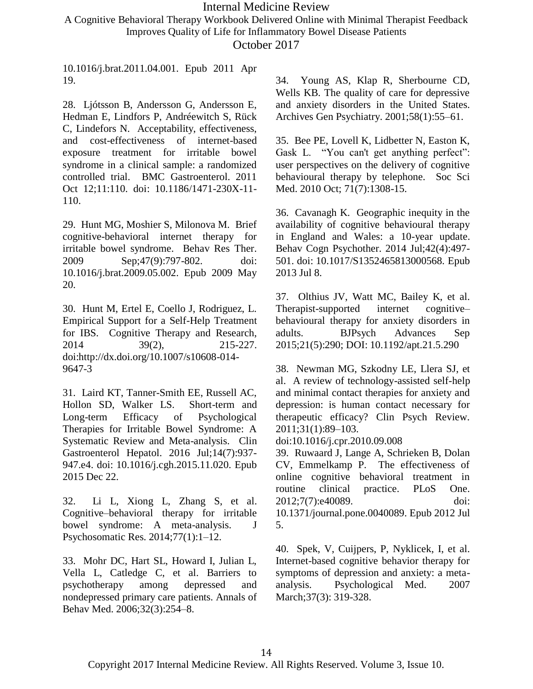A Cognitive Behavioral Therapy Workbook Delivered Online with Minimal Therapist Feedback Improves Quality of Life for Inflammatory Bowel Disease Patients

October 2017

10.1016/j.brat.2011.04.001. Epub 2011 Apr 19.

28. Ljótsson B, Andersson G, Andersson E, Hedman E, Lindfors P, Andréewitch S, Rück C, Lindefors N. Acceptability, effectiveness, and cost-effectiveness of internet-based exposure treatment for irritable bowel syndrome in a clinical sample: a randomized controlled trial. BMC Gastroenterol. 2011 Oct 12;11:110. doi: 10.1186/1471-230X-11- 110.

29. Hunt MG, Moshier S, Milonova M. Brief cognitive-behavioral internet therapy for irritable bowel syndrome. Behav Res Ther. 2009 Sep;47(9):797-802. doi: 10.1016/j.brat.2009.05.002. Epub 2009 May 20.

30. Hunt M, Ertel E, Coello J, Rodriguez, L. Empirical Support for a Self-Help Treatment for IBS. Cognitive Therapy and Research, 2014 39(2), 215-227. doi:http://dx.doi.org/10.1007/s10608-014- 9647-3

31. Laird KT, Tanner-Smith EE, Russell AC, Hollon SD, Walker LS. Short-term and Long-term Efficacy of Psychological Therapies for Irritable Bowel Syndrome: A Systematic Review and Meta-analysis. Clin Gastroenterol Hepatol. 2016 Jul;14(7):937- 947.e4. doi: 10.1016/j.cgh.2015.11.020. Epub 2015 Dec 22.

32. Li L, Xiong L, Zhang S, et al. Cognitive–behavioral therapy for irritable bowel syndrome: A meta-analysis. J Psychosomatic Res. 2014;77(1):1–12.

33. Mohr DC, Hart SL, Howard I, Julian L, Vella L, Catledge C, et al. Barriers to psychotherapy among depressed and nondepressed primary care patients. Annals of Behav Med. 2006;32(3):254–8.

34. Young AS, Klap R, Sherbourne CD, Wells KB. The quality of care for depressive and anxiety disorders in the United States. Archives Gen Psychiatry. 2001;58(1):55–61.

35. Bee PE, Lovell K, Lidbetter N, Easton K, Gask L. "You can't get anything perfect": user perspectives on the delivery of cognitive behavioural therapy by telephone. Soc Sci Med. 2010 Oct; 71(7):1308-15.

36. Cavanagh K. Geographic inequity in the availability of cognitive behavioural therapy in England and Wales: a 10-year update. Behav Cogn Psychother. 2014 Jul;42(4):497- 501. doi: 10.1017/S1352465813000568. Epub 2013 Jul 8.

37. Olthius JV, Watt MC, Bailey K, et al. Therapist-supported internet cognitive– behavioural therapy for anxiety disorders in adults. BJPsych Advances Sep 2015;21(5):290; DOI: 10.1192/apt.21.5.290

38. Newman MG, Szkodny LE, Llera SJ, et al. A review of technology-assisted self-help and minimal contact therapies for anxiety and depression: is human contact necessary for therapeutic efficacy? Clin Psych Review. 2011;31(1):89–103.

doi:10.1016/j.cpr.2010.09.008

39. Ruwaard J, Lange A, Schrieken B, Dolan CV, Emmelkamp P. The effectiveness of online cognitive behavioral treatment in routine clinical practice. PLoS One. 2012;7(7):e40089. doi: 10.1371/journal.pone.0040089. Epub 2012 Jul 5.

40. Spek, V, Cuijpers, P, Nyklicek, I, et al. Internet-based cognitive behavior therapy for symptoms of depression and anxiety: a metaanalysis. Psychological Med. 2007 March;37(3): 319-328.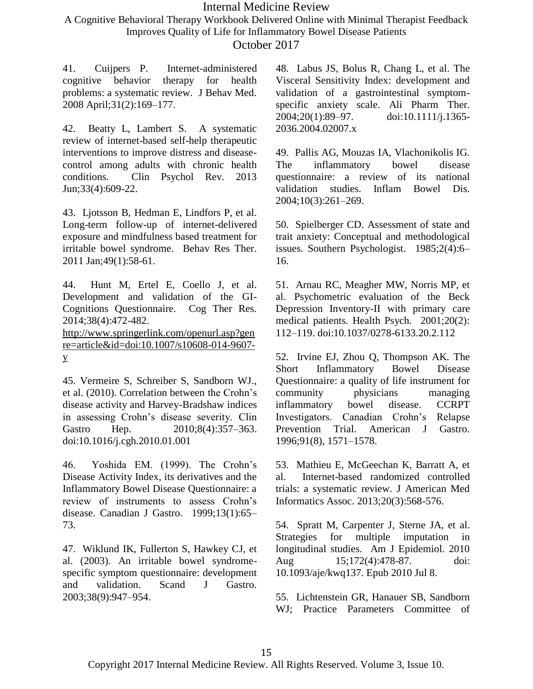A Cognitive Behavioral Therapy Workbook Delivered Online with Minimal Therapist Feedback Improves Quality of Life for Inflammatory Bowel Disease Patients

October 2017

41. Cuijpers P. Internet-administered cognitive behavior therapy for health problems: a systematic review. J Behav Med. 2008 April;31(2):169–177.

42. Beatty L, Lambert S. A systematic review of internet-based self-help therapeutic interventions to improve distress and diseasecontrol among adults with chronic health conditions. Clin Psychol Rev. 2013 Jun;33(4):609-22.

43. Ljotsson B, Hedman E, Lindfors P, et al. Long-term follow-up of internet-delivered exposure and mindfulness based treatment for irritable bowel syndrome. Behav Res Ther. 2011 Jan;49(1):58-61.

44. Hunt M, Ertel E, Coello J, et al. Development and validation of the GI-Cognitions Questionnaire. Cog Ther Res. 2014;38(4):472-482.

[http://www.springerlink.com/openurl.asp?gen](http://www.springerlink.com/openurl.asp?genre=article&id=doi:10.1007/s10608-014-9607-y) [re=article&id=doi:10.1007/s10608-014-9607](http://www.springerlink.com/openurl.asp?genre=article&id=doi:10.1007/s10608-014-9607-y) [y](http://www.springerlink.com/openurl.asp?genre=article&id=doi:10.1007/s10608-014-9607-y)

45. Vermeire S, Schreiber S, Sandborn WJ., et al. (2010). Correlation between the Crohn's disease activity and Harvey-Bradshaw indices in assessing Crohn's disease severity. Clin Gastro Hep. 2010;8(4):357–363. doi:10.1016/j.cgh.2010.01.001

46. Yoshida EM. (1999). The Crohn's Disease Activity Index, its derivatives and the Inflammatory Bowel Disease Questionnaire: a review of instruments to assess Crohn's disease. Canadian J Gastro. 1999;13(1):65– 73.

47. Wiklund IK, Fullerton S, Hawkey CJ, et al. (2003). An irritable bowel syndromespecific symptom questionnaire: development and validation. Scand J Gastro. 2003;38(9):947–954.

48. Labus JS, Bolus R, Chang L, et al. The Visceral Sensitivity Index: development and validation of a gastrointestinal symptomspecific anxiety scale. Ali Pharm Ther. 2004;20(1):89–97. doi:10.1111/j.1365- 2036.2004.02007.x

49. Pallis AG, Mouzas IA, Vlachonikolis IG. The inflammatory bowel disease questionnaire: a review of its national validation studies. Inflam Bowel Dis. 2004;10(3):261–269.

50. Spielberger CD. Assessment of state and trait anxiety: Conceptual and methodological issues. Southern Psychologist. 1985;2(4):6– 16.

51. Arnau RC, Meagher MW, Norris MP, et al. Psychometric evaluation of the Beck Depression Inventory-II with primary care medical patients. Health Psych. 2001;20(2): 112–119. doi:10.1037/0278-6133.20.2.112

52. Irvine EJ, Zhou Q, Thompson AK. The Short Inflammatory Bowel Disease Questionnaire: a quality of life instrument for community physicians managing inflammatory bowel disease. CCRPT Investigators. Canadian Crohn's Relapse Prevention Trial. American J Gastro. 1996;91(8), 1571–1578.

53. Mathieu E, McGeechan K, Barratt A, et al. Internet-based randomized controlled trials: a systematic review. J American Med Informatics Assoc. 2013;20(3):568-576.

54. Spratt M, Carpenter J, Sterne JA, et al. Strategies for multiple imputation in longitudinal studies. Am J Epidemiol. 2010 Aug 15;172(4):478-87. doi: 10.1093/aje/kwq137. Epub 2010 Jul 8.

55. Lichtenstein GR, Hanauer SB, Sandborn WJ; Practice Parameters Committee of